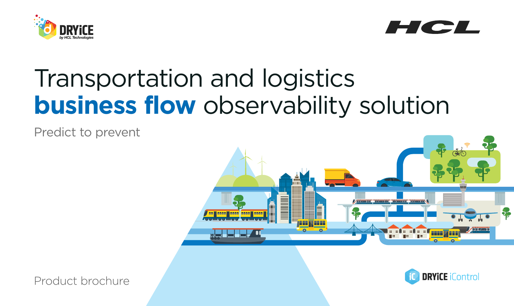



# Transportation and logistics **business flow** observability solution

Predict to prevent



Product brochure

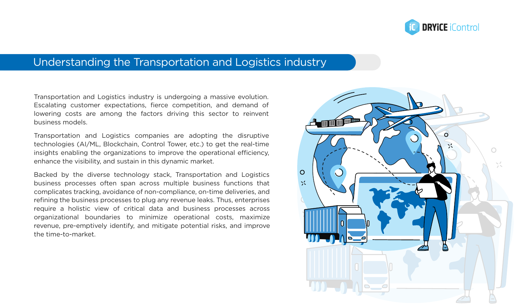

# Understanding the Transportation and Logistics industry

Transportation and Logistics industry is undergoing a massive evolution. Escalating customer expectations, fierce competition, and demand of lowering costs are among the factors driving this sector to reinvent business models.

Transportation and Logistics companies are adopting the disruptive technologies (AI/ML, Blockchain, Control Tower, etc.) to get the real-time insights enabling the organizations to improve the operational efficiency, enhance the visibility, and sustain in this dynamic market.

Backed by the diverse technology stack, Transportation and Logistics business processes often span across multiple business functions that complicates tracking, avoidance of non-compliance, on-time deliveries, and refining the business processes to plug any revenue leaks. Thus, enterprises require a holistic view of critical data and business processes across organizational boundaries to minimize operational costs, maximize revenue, pre-emptively identify, and mitigate potential risks, and improve the time-to-market.

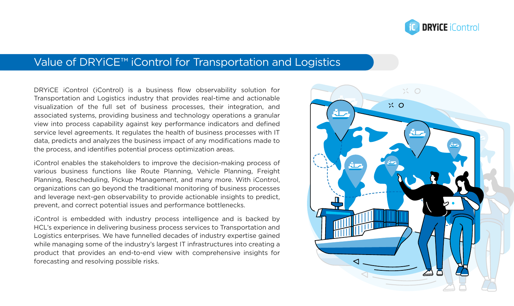

# Value of DRYiCE™ iControl for Transportation and Logistics

DRYiCE iControl (iControl) is a business flow observability solution for Transportation and Logistics industry that provides real-time and actionable visualization of the full set of business processes, their integration, and associated systems, providing business and technology operations a granular view into process capability against key performance indicators and defined service level agreements. It regulates the health of business processes with IT data, predicts and analyzes the business impact of any modifications made to the process, and identifies potential process optimization areas.

iControl enables the stakeholders to improve the decision-making process of various business functions like Route Planning, Vehicle Planning, Freight Planning, Rescheduling, Pickup Management, and many more. With iControl, organizations can go beyond the traditional monitoring of business processes and leverage next-gen observability to provide actionable insights to predict, prevent, and correct potential issues and performance bottlenecks.

iControl is embedded with industry process intelligence and is backed by HCL's experience in delivering business process services to Transportation and Logistics enterprises. We have funnelled decades of industry expertise gained while managing some of the industry's largest IT infrastructures into creating a product that provides an end-to-end view with comprehensive insights for forecasting and resolving possible risks.

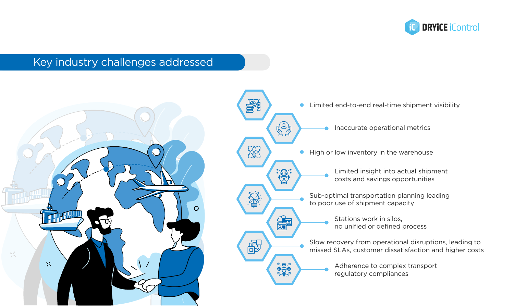

# Key industry challenges addressed



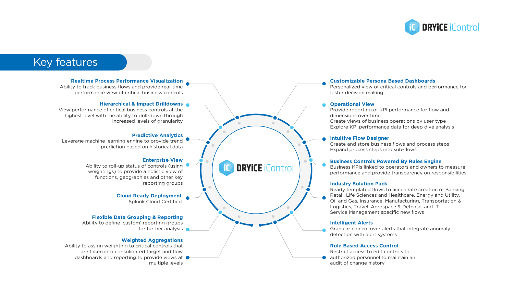

# Key features

#### **Realtime Process Performance Visualization**

Ability to track business flows and provide real-time performance view of critical business controls

#### **Hierarchical & Impact Drilldowns**

View performance of critical business controls at the highest level with the ability to drill-down through increased levels of granularity

#### **Predictive Analytics**

Leverage machine learning engine to provide trend prediction based on historical data

#### **Enterprise View**

Ability to roll-up status of controls (using weightings) to provide a holistic view of functions, geographies and other key reporting groups

> **Cloud Ready Deployment** Splunk Cloud Certified

#### **Flexible Data Grouping & Reporting**

Ability to define 'custom' reporting groups for further analysis

#### **Weighted Aggregations**

Ability to assign weighting to critical controls that are taken into consolidated target and flow dashboards and reporting to provide views at  $\bullet$ multiple levels

#### **Customizable Persona Based Dashboards**

Personalized view of critical controls and performance for faster decision making

#### **Operational View**

Provide reporting of KPI performance for flow and dimensions over time Create views of business operations by user type Explore KPI performance data for deep dive analysis

#### **Intuitive Flow Designer**

Create and store business flows and process steps Expand process steps into sub-flows

#### **Business Controls Powered By Rules Engine**

Business KPIs linked to operators and owners to measure performance and provide transparency on responsibilities

#### **Industry Solution Pack**

Ready templated flows to accelerate creation of Banking, Retail, Life Sciences and Healthcare, Energy and Utility, Oil and Gas, Insurance, Manufacturing, Transportation & Logistics, Travel, Aerospace & Defense, and IT Service Management specific new flows

#### **Intelligent Alerts**

Granular control over alerts that integrate anomaly detection with alert systems

#### **Role Based Access Control**

Restrict access to edit controls to **authorized personnel to maintain an** audit of change history

#### **DRYICE iControl IC**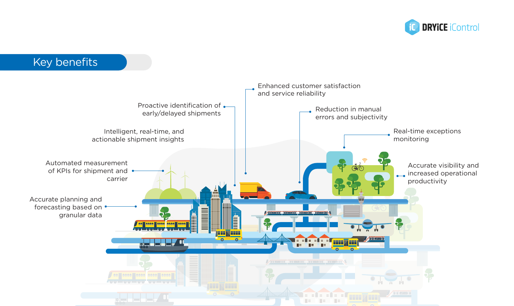

## Key benefitsEnhanced customer satisfaction and service reliability Proactive identification of  $\bullet$ Reduction in manual early/delayed shipments errors and subjectivity Intelligent, real-time, and Real-time exceptions actionable shipment insights monitoring Automated measurement Accurate visibility and CON of KPIs for shipment and increased operational carrier productivity Accurate planning and forecasting based on  $\bullet$ **The Manufacturer** granular data **BELITY plus but 1**  $\bullet$  $\bullet$ /polozzaloja | dolessa | dol | dolessa | dol | dolessa | dol. ness Mosse (sees Mess)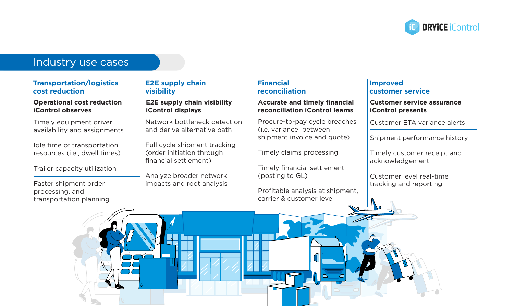

# Industry use cases

## **Transportation/logistics cost reduction**

## **Operational cost reduction iControl observes**

Timely equipment driver availability and assignments

Idle time of transportation resources (i.e., dwell times)

Trailer capacity utilization

Faster shipment order processing, and transportation planning

## **E2E supply chain visibility**

**E2E supply chain visibility iControl displays**

Network bottleneck detection and derive alternative path

Full cycle shipment tracking (order initiation through financial settlement)

Analyze broader network impacts and root analysis

# **Financial reconciliation**

## **Accurate and timely financial reconciliation iControl learns**

Procure-to-pay cycle breaches (i.e. variance between shipment invoice and quote)

Timely claims processing

Timely financial settlement (posting to GL)

Profitable analysis at shipment, carrier & customer level

0

## **Improved customer service**

### **Customer service assurance iControl presents**

Customer ETA variance alerts

Shipment performance history

Timely customer receipt and acknowledgement

Customer level real-time tracking and reporting